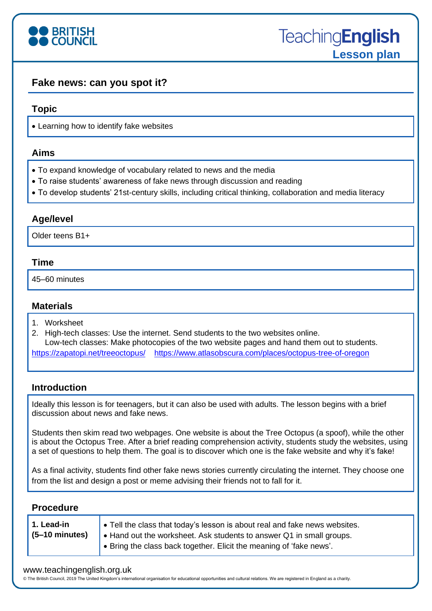

# **Fake news: can you spot it?**

#### **Topic**

• Learning how to identify fake websites

#### **Aims**

- To expand knowledge of vocabulary related to news and the media
- To raise students' awareness of fake news through discussion and reading
- To develop students' 21st-century skills, including critical thinking, collaboration and media literacy

## **Age/level**

Older teens B1+

### **Time**

45–60 minutes

## **Materials**

- 1. Worksheet
- 2. High-tech classes: Use the internet. Send students to the two websites online.

Low-tech classes: Make photocopies of the two website pages and hand them out to students. <https://zapatopi.net/treeoctopus/><https://www.atlasobscura.com/places/octopus-tree-of-oregon>

### **Introduction**

Ideally this lesson is for teenagers, but it can also be used with adults. The lesson begins with a brief discussion about news and fake news.

Students then skim read two webpages. One website is about the Tree Octopus (a spoof), while the other is about the Octopus Tree. After a brief reading comprehension activity, students study the websites, using a set of questions to help them. The goal is to discover which one is the fake website and why it's fake!

As a final activity, students find other fake news stories currently circulating the internet. They choose one from the list and design a post or meme advising their friends not to fall for it.

### **Procedure**

| 1. Lead-in<br>$(5-10 \text{ minutes})$ | • Tell the class that today's lesson is about real and fake news websites.<br>Hand out the worksheet. Ask students to answer Q1 in small groups.<br>$\bullet$ Bring the class back together. Elicit the meaning of 'fake news'. |
|----------------------------------------|---------------------------------------------------------------------------------------------------------------------------------------------------------------------------------------------------------------------------------|
|----------------------------------------|---------------------------------------------------------------------------------------------------------------------------------------------------------------------------------------------------------------------------------|

#### www.teachingenglish.org.uk

© The British Council, 2019 The United Kingdom's international organisation for educational opportunities and cultural relations. We are registered in England as a charity.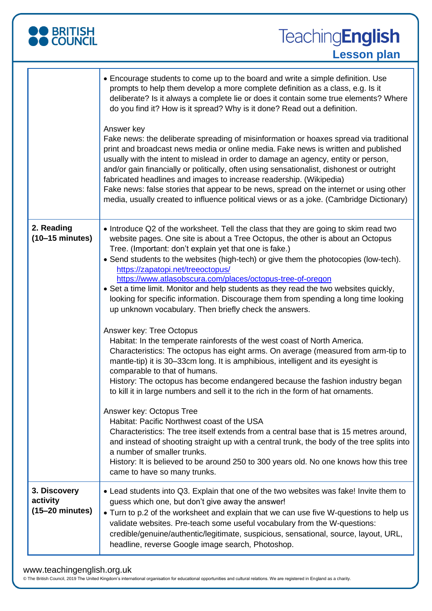| O BRITISH<br>O COUNCIL                                | <b>TeachingEnglish</b><br><b>Lesson plan</b>                                                                                                                                                                                                                                                                                                                                                                                                                                                                                                                                                                                                                         |
|-------------------------------------------------------|----------------------------------------------------------------------------------------------------------------------------------------------------------------------------------------------------------------------------------------------------------------------------------------------------------------------------------------------------------------------------------------------------------------------------------------------------------------------------------------------------------------------------------------------------------------------------------------------------------------------------------------------------------------------|
|                                                       | • Encourage students to come up to the board and write a simple definition. Use<br>prompts to help them develop a more complete definition as a class, e.g. Is it<br>deliberate? Is it always a complete lie or does it contain some true elements? Where<br>do you find it? How is it spread? Why is it done? Read out a definition.                                                                                                                                                                                                                                                                                                                                |
|                                                       | Answer key<br>Fake news: the deliberate spreading of misinformation or hoaxes spread via traditional<br>print and broadcast news media or online media. Fake news is written and published<br>usually with the intent to mislead in order to damage an agency, entity or person,<br>and/or gain financially or politically, often using sensationalist, dishonest or outright<br>fabricated headlines and images to increase readership. (Wikipedia)<br>Fake news: false stories that appear to be news, spread on the internet or using other<br>media, usually created to influence political views or as a joke. (Cambridge Dictionary)                           |
| 2. Reading<br>$(10-15 \text{ minutes})$               | • Introduce Q2 of the worksheet. Tell the class that they are going to skim read two<br>website pages. One site is about a Tree Octopus, the other is about an Octopus<br>Tree. (Important: don't explain yet that one is fake.)<br>• Send students to the websites (high-tech) or give them the photocopies (low-tech).<br>https://zapatopi.net/treeoctopus/<br>https://www.atlasobscura.com/places/octopus-tree-of-oregon<br>• Set a time limit. Monitor and help students as they read the two websites quickly,<br>looking for specific information. Discourage them from spending a long time looking<br>up unknown vocabulary. Then briefly check the answers. |
|                                                       | Answer key: Tree Octopus<br>Habitat: In the temperate rainforests of the west coast of North America.<br>Characteristics: The octopus has eight arms. On average (measured from arm-tip to<br>mantle-tip) it is 30-33cm long. It is amphibious, intelligent and its eyesight is<br>comparable to that of humans.<br>History: The octopus has become endangered because the fashion industry began<br>to kill it in large numbers and sell it to the rich in the form of hat ornaments.                                                                                                                                                                               |
|                                                       | Answer key: Octopus Tree<br>Habitat: Pacific Northwest coast of the USA<br>Characteristics: The tree itself extends from a central base that is 15 metres around,<br>and instead of shooting straight up with a central trunk, the body of the tree splits into<br>a number of smaller trunks.<br>History: It is believed to be around 250 to 300 years old. No one knows how this tree<br>came to have so many trunks.                                                                                                                                                                                                                                              |
| 3. Discovery<br>activity<br>$(15-20 \text{ minutes})$ | • Lead students into Q3. Explain that one of the two websites was fake! Invite them to<br>guess which one, but don't give away the answer!<br>• Turn to p.2 of the worksheet and explain that we can use five W-questions to help us<br>validate websites. Pre-teach some useful vocabulary from the W-questions:<br>credible/genuine/authentic/legitimate, suspicious, sensational, source, layout, URL,<br>headline, reverse Google image search, Photoshop.                                                                                                                                                                                                       |

#### www.teachingenglish.org.uk

© The British Council, 2019 The United Kingdom's international organisation for educational opportunities and cultural relations. We are registered in England as a charity.